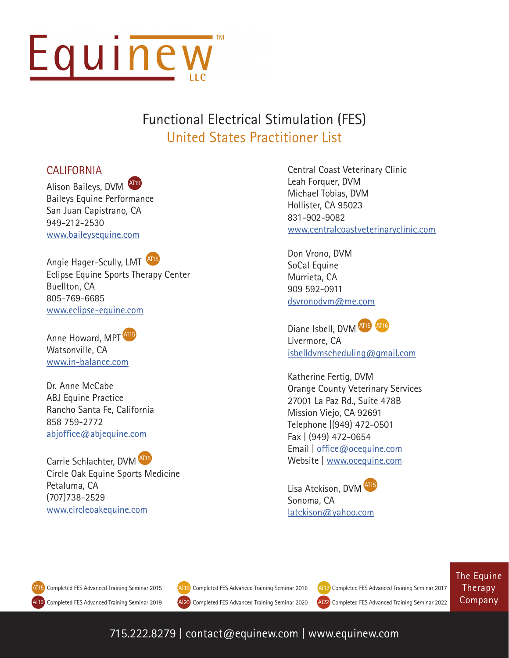

## Functional Electrical Stimulation (FES) United States Practitioner List

### **CALIFORNIA**

Alison Baileys, DVM AT19 Baileys Equine Performance San Juan Capistrano, CA 949-212-2530 [www.baileysequine.com](http://www.baileysequine.com)

Angie Hager-Scully, LMT AT15 Eclipse Equine Sports Therapy Center Buellton, CA 805-769-6685 [www.eclipse-equine.com](http://www.eclipse-equine.com)

Anne Howard, MPT<sup>AT15</sup> Watsonville, CA [www.in-balance.com](http://www.in-balance.com)

Dr. Anne McCabe ABJ Equine Practice Rancho Santa Fe, California 858 759-2772 [abjoffice@abjequine.com](mailto:abjoffice%40abjequine.com?subject=)

Carrie Schlachter, DVM AT15 Circle Oak Equine Sports Medicine Petaluma, CA (707)738-2529 [www.circleoakequine.com](http://www.circleoakequine.com)

Central Coast Veterinary Clinic Leah Forquer, DVM Michael Tobias, DVM Hollister, CA 95023 831-902-9082 [www.centralcoastveterinaryclinic.com](http://www.centralcoastveterinaryclinic.com
)

[Don Vrono, DVM](http://www.centralcoastveterinaryclinic.com
) [SoCal Equine](http://www.centralcoastveterinaryclinic.com
) [Murrieta, CA](http://www.centralcoastveterinaryclinic.com
) [909 592-0911](http://www.centralcoastveterinaryclinic.com
)  [dsvronodvm@me.com](http://www.centralcoastveterinaryclinic.com
)

[Diane Isbell, DVM](http://www.centralcoastveterinaryclinic.com
) AT15 AT16 [Livermore, CA](http://www.centralcoastveterinaryclinic.com
) isbelldvmscheduling@gmail.com

Katherine Fertig, DVM Orange County Veterinary Services 27001 La Paz Rd., Suite 478B Mission Viejo, CA 92691 Telephone |(949) 472-0501 Fax | (949) 472-0654 Email | [office@ocequine.com](mailto:office%40ocequine.com?subject=) Website |<www.ocequine.com>

Lisa Atckison, DVM AT15 Sonoma, CA [latckison@yahoo.com](mailto:latckison%40yahoo.com?subject=)

AT19 Completed FES Advanced Training Seminar 2019 Completed FES Advanced Training Seminar 2015 (AT16) Completed FES Advanced Training Seminar 2016 (AT17) Completed FES Advanced Training Seminar 2017 AT15



Completed FES Advanced Training Seminar 2019 (AT20) Completed FES Advanced Training Seminar 2020 (AT22) Completed FES Advanced Training Seminar 2022

The Equine Therapy Company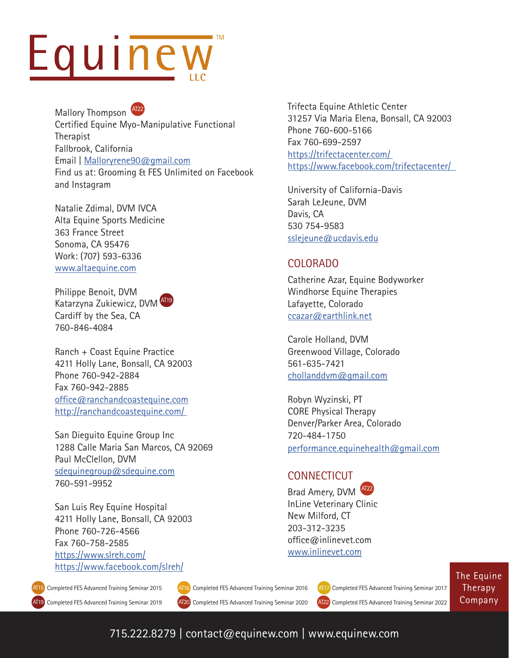# Equinew

Mallory Thompson AT22 Certified Equine Myo-Manipulative Functional Therapist Fallbrook, California Email | [Malloryrene90@gmail.com](mailto:Malloryrene90%40gmail.com%0D?subject=) Find us at: Grooming & FES Unlimited on Facebook and Instagram

Natalie Zdimal, DVM IVCA Alta Equine Sports Medicine 363 France Street Sonoma, CA 95476 Work: (707) 593-6336 <www.altaequine.com>

Philippe Benoit, DVM Katarzyna Zukiewicz, DVM AT19 Cardiff by the Sea, CA 760-846-4084

Ranch + Coast Equine Practice 4211 Holly Lane, Bonsall, CA 92003 Phone 760-942-2884 Fax 760-942-2885 [office@ranchandcoastequine.com](mailto:office%40ranchandcoastequine.com%0D?subject=) <http://ranchandcoastequine.com/>

San Dieguito Equine Group Inc 1288 Calle Maria San Marcos, CA 92069 Paul McClellon, DVM [sdequinegroup@sdequine.com](mailto:sdequinegroup%40sdequine.com%0D?subject=) 760-591-9952

San Luis Rey Equine Hospital 4211 Holly Lane, Bonsall, CA 92003 Phone 760-726-4566 Fax 760-758-2585 <https://www.slreh.com/> <https://www.facebook.com/slreh/>

AT19 Completed FES Advanced Training Seminar 2019 Completed FES Advanced Training Seminar 2015 (AT16) Completed FES Advanced Training Seminar 2016 (AT17) Completed FES Advanced Training Seminar 2017 Completed FES Advanced Training Seminar 2019 (AT20) Completed FES Advanced Training Seminar 2020 (AT22) Completed FES Advanced Training Seminar 2022 AT15

Trifecta Equine Athletic Center 31257 Via Maria Elena, Bonsall, CA 92003 Phone 760-600-5166 Fax 760-699-2597 <https://trifectacenter.com/> <https://www.facebook.com/trifectacenter/>

University of California-Davis Sarah LeJeune, DVM Davis, CA 530 754-9583 [sslejeune@ucdavis.edu](mailto:sslejeune%40ucdavis.edu?subject=)

### COLORADO

Catherine Azar, Equine Bodyworker Windhorse Equine Therapies Lafayette, Colorado [ccazar@earthlink.net](mailto:ccazar%40earthlink.net?subject=)

Carole Holland, DVM Greenwood Village, Colorado 561-635-7421 [chollanddvm@gmail.com](mailto:chollanddvm%40gmail.com?subject=)

Robyn Wyzinski, PT CORE Physical Therapy Denver/Parker Area, Colorado 720-484-1750 [performance.equinehealth@gmail.com](mailto:performance.equinehealth%40gmail.com?subject=)

### **CONNECTICUT**

Brad Amery, DVM InLine Veterinary Clinic New Milford, CT 203-312-3235 office@inlinevet.com [www.inlinevet.com](https://www.inlinevet.com/)



The Equine Therapy Company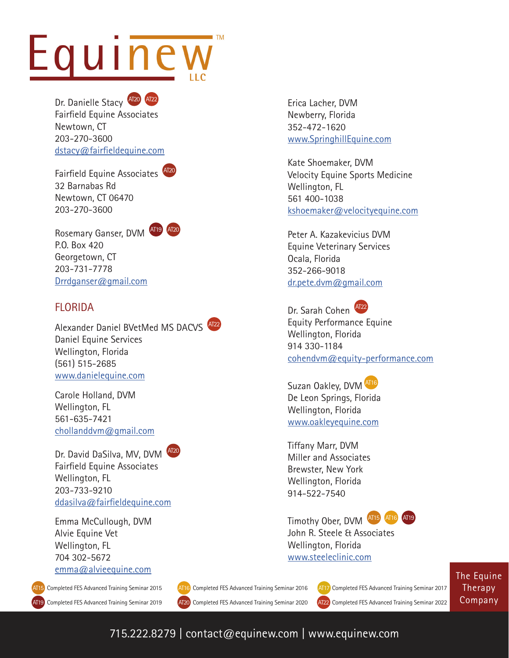# Equinew

Dr. Danielle Stacy **AT20** AT22 Fairfield Equine Associates Newtown, CT 203-270-3600 [dstacy@fairfieldequine.com](mailto:dstacy%40fairfieldequine.com?subject=)

Fairfield Equine Associates AT20 32 Barnabas Rd Newtown, CT 06470 203-270-3600



Rosemary Ganser, DVM AT19 AT20 P.O. Box 420 Georgetown, CT 203-731-7778 [Drrdganser@gmail.com](mailto:Drrdganser%40gmail.com?subject=)

### **FLORIDA**

Alexander Daniel BVetMed MS DACVS AT22 Daniel Equine Services Wellington, Florida (561) 515-2685 <www.danielequine.com>

Carole Holland, DVM Wellington, FL 561-635-7421 chollanddvm@gmail.com

Dr. David DaSilva, MV, DVM AT20 Fairfield Equine Associates

Wellington, FL 203-733-9210

[ddasilva@fairfieldequine.com](mailto:ddasilva%40fairfieldequine.com?subject=)

Emma McCullough, DVM Alvie Equine Vet Wellington, FL 704 302-5672 [emma@alvieequine.com](mailto:emma%40alvieequine.com?subject=)

AT19 Completed FES Advanced Training Seminar 2019 Co[m](mailto:chollanddvm%40gmail.com%0D?subject=)pleted FES Advanced Training Seminar 2015 (AT16) Completed FES Advanced Training Seminar 2016 (AT17) Completed FES Advanced Training Seminar 2017 AT15

Erica Lacher, DVM Newberry, Florida 352-472-1620 [www.SpringhillEquine.com](http://www.SpringhillEquine.com)

Kate Shoemaker, DVM Velocity Equine Sports Medicine Wellington, FL 561 400-1038 [kshoemaker@velocityequine.com](mailto:kshoemaker%40velocityequine.com?subject=)

Peter A. Kazakevicius DVM Equine Veterinary Services Ocala, Florida 352-266-9018 [dr.pete.dvm@gmail.com](mailto:dr.pete.dvm%40gmail.com?subject=)

Dr. Sarah Cohen <sup>AT22</sup> Equity Performance Equine Wellington, Florida 914 330-1184 [cohendvm@equity-performance.com](mailto:cohendvm%40equity-performance.com?subject=)

Suzan Oakley, DVM AT16 De Leon Springs, Florida Wellington, Florida [www.oakleyequine.com](http://www.oakleyequine.com)

Tiffany Marr, DVM Miller and Associates Brewster, New York Wellington, Florida 914-522-7540

Timothy Ober, DVM AT15 AT16 AT19



John R. Steele & Associates Wellington, Florida [www.steeleclinic.com](http://www.steeleclinic.com)

The Equine Therapy Company

Completed FES Advanced Training Seminar 2019 (AT20) Completed FES Advanced Training Seminar 2020 (AT22) Completed FES Advanced Training Seminar 2022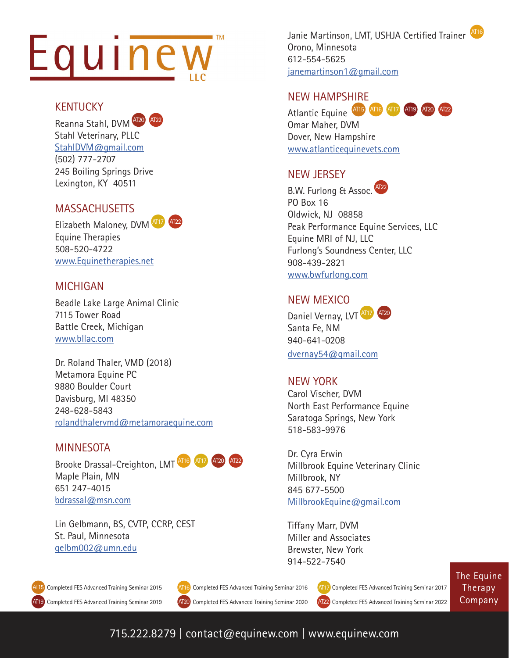# $\blacksquare$  TM Equinew

#### KENTUCKY

Reanna Stahl, DVM AT20 AT22 Stahl Veterinary, PLLC [StahlDVM@gmail.com](mailto:StahlDVM%40gmail.com?subject=) (502) 777-2707 245 Boiling Springs Drive Lexington, KY 40511

### **MASSACHUSETTS**



Elizabeth Maloney, DVM AT17 Equine Therapies 508-520-4722 [www.Equinetherapies.net](http://www.Equinetherapies.net)

### MICHIGAN

Beadle Lake Large Animal Clinic 7115 Tower Road Battle Creek, Michigan [www.bllac.com](http://www.bllac.com)

Dr. Roland Thaler, VMD (2018) Metamora Equine PC 9880 Boulder Court Davisburg, MI 48350 248-628-5843 [rolandthalervmd@metamoraequine.com](mailto:rolandthalervmd%40metamoraequine.com?subject=)

### MINNESOTA

Brooke Drassal-Creighton, LMT AT16 Maple Plain, MN 651 247-4015 [bdrassal@msn.com](mailto:bdrassal%40msn.com?subject=)

Lin Gelbmann, BS, CVTP, CCRP, CEST St. Paul, Minnesota [gelbm002@umn.edu](mailto:gelbm002%40umn.edu%0D?subject=)

Janie Martinson, LMT, USHJA Certified Trainer AT16 Orono, Minnesota 612-554-5625 [janemartinson1@gmail.com](mailto:janemartinson1%40gmail.com?subject=)

### NEW HAMPSHIRE

Atlantic Equine AT15 AT16 AT17 AT19 AT20 AT22 Omar Maher, DVM Dover, New Hampshire [www.atlanticequinevets.com](http://www.atlanticequinevets.com)

### NEW JERSEY



www.bwfurlong.com

#### NEW MEXICO

Daniel Vernay, LVT AT17 AT20 Santa Fe, NM 940-641-0208 [dvernay54@gmail.com](mailto:dvernay54%40gmail.com?subject=)

### NEW YORK

Carol Vischer, DVM North East Performance Equine Saratoga Springs, New York 518-583-9976

Dr. Cyra Erwin Millbrook Equine Veterinary Clinic Millbrook, NY 845 677-5500 [MillbrookEquine@gmail.com](mailto:MillbrookEquine%40gmail.com?subject=)

Tiffany Marr, DVM Miller and Associates Brewster, New York 914-522-7540



Completed FES Advanced Training Seminar 2015 (AT16) Completed FES Advanced Training Seminar 2016 (AT17) Completed FES Advanced Training Seminar 2017

Completed FES Advanced Training Seminar 2019 (AT20) Completed FES Advanced Training Seminar 2020 (AT22) Completed FES Advanced Training Seminar 2022

The Equine Therapy Company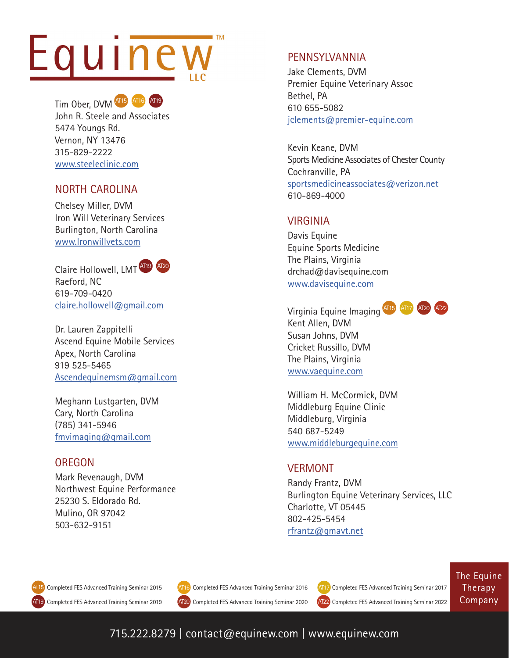# Equinew



Tim Ober, DVM AT15 AT16 AT19 John R. Steele and Associates 5474 Youngs Rd. Vernon, NY 13476 315-829-2222 [www.steeleclinic.com](http://www.steeleclinic.com
)

### NORTH CAROLINA

Chelsey Miller, DVM Iron Will Veterinary Services Burlington, North Carolina [www.Ironwillvets.com](http://fmvimaging@gmail.com)

Claire Hollowell, LMT AT19 AT20 Raeford, NC 619-709-0420 [claire.hollowell@gmail.com](mailto:claire.hollowell%40gmail.com?subject=)

Dr. Lauren Zappitelli Ascend Equine Mobile Services Apex, North Carolina 919 525-5465 [Ascendequinemsm@gmail.com](mailto:?subject=)

Meghann Lustgarten, DVM Cary, North Carolina (785) 341-5946 [fmvimaging@gmail.com](mailto:fmvimaging%40gmail.com?subject=)

### **OREGON**

Mark Revenaugh, DVM Northwest Equine Performance 25230 S. Eldorado Rd. Mulino, OR 97042 503-632-9151

### PENNSYLVANNIA

Jake Clements, DVM Premier Equine Veterinary Assoc Bethel, PA 610 655-5082 [jclements@premier-equine.com](mailto:jclements%40premier-equine.com?subject=)

Kevin Keane, DVM Sports Medicine Associates of Chester County Cochranville, PA [sportsmedicineassociates@verizon.net](mailto:sportsmedicineassociates%40verizon.net%0D?subject=) 610-869-4000

### VIRGINIA

Davis Equine Equine Sports Medicine The Plains, Virginia drchad@davisequine.com [www.davisequine.com](http://www.davisequine.com)

Virginia Equine Imaging AT15 AT17 AT20 AT22 Kent Allen, DVM Susan Johns, DVM Cricket Russillo, DVM The Plains, Virginia [www.vaequine.com](http://www.vaequine.com)

William H. McCormick, DVM Middleburg Equine Clinic Middleburg, Virginia 540 687-5249 [www.middleburgequine.com](http://www.middleburgequine.com)

### VERMONT

Randy Frantz, DVM Burlington Equine Veterinary Services, LLC Charlotte, VT 05445 802-425-5454 [rfrantz@gmavt.net](mailto:rfrantz%40gmavt.net?subject=)

AT15

AT19 Completed FES Advanced Training Seminar 2019 (AT20) Completed FES Advanced Training Seminar 2020 (AT22) Completed FES Advanced Training Seminar 2022



Completed FES Advanced Training Seminar 2015 (AT16) Completed FES Advanced Training Seminar 2016 (AT17) Completed FES Advanced Training Seminar 2017

The Equine Therapy Company